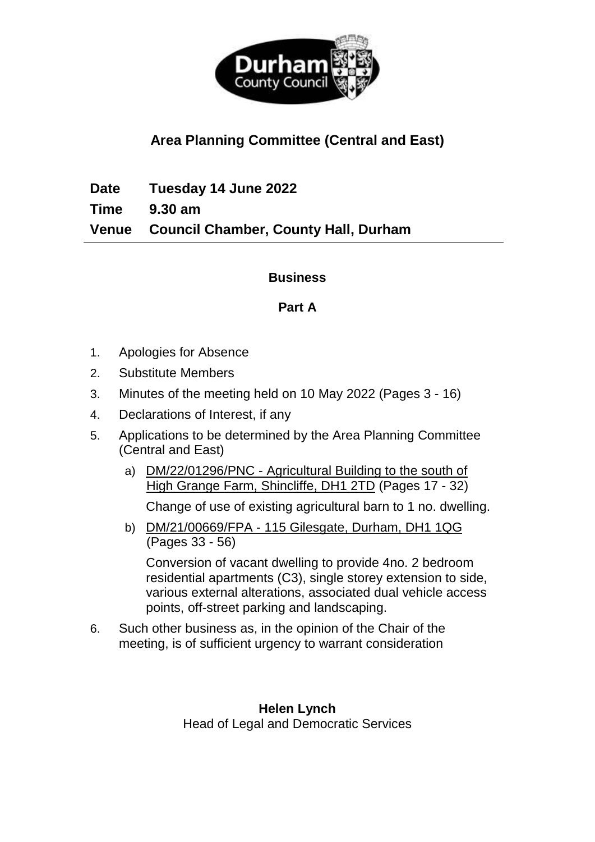

## **Area Planning Committee (Central and East)**

**Date Tuesday 14 June 2022 Time 9.30 am Venue Council Chamber, County Hall, Durham**

## **Business**

## **Part A**

- 1. Apologies for Absence
- 2. Substitute Members
- 3. Minutes of the meeting held on 10 May 2022 (Pages 3 16)
- 4. Declarations of Interest, if any
- 5. Applications to be determined by the Area Planning Committee (Central and East)
	- a) DM/22/01296/PNC Agricultural Building to the south of High Grange Farm, Shincliffe, DH1 2TD (Pages 17 - 32)

Change of use of existing agricultural barn to 1 no. dwelling.

b) DM/21/00669/FPA - 115 Gilesgate, Durham, DH1 1QG (Pages 33 - 56)

Conversion of vacant dwelling to provide 4no. 2 bedroom residential apartments (C3), single storey extension to side, various external alterations, associated dual vehicle access points, off-street parking and landscaping.

6. Such other business as, in the opinion of the Chair of the meeting, is of sufficient urgency to warrant consideration